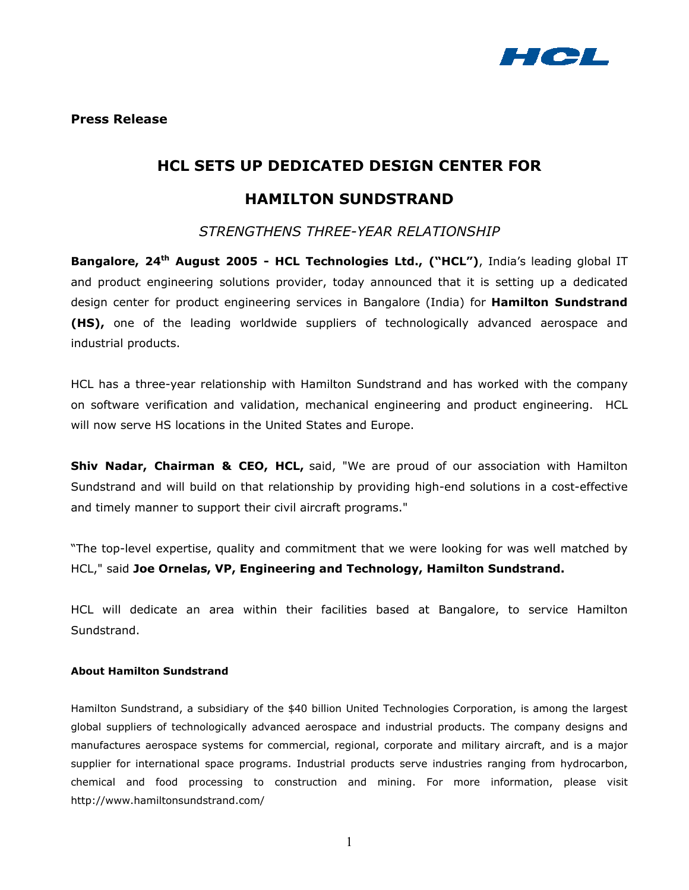

# **HCL SETS UP DEDICATED DESIGN CENTER FOR HAMILTON SUNDSTRAND**

*STRENGTHENS THREE-YEAR RELATIONSHIP* 

**Bangalore, 24<sup>th</sup> August 2005 - HCL Technologies Ltd., ("HCL")**, India's leading global IT and product engineering solutions provider, today announced that it is setting up a dedicated design center for product engineering services in Bangalore (India) for **Hamilton Sundstrand (HS),** one of the leading worldwide suppliers of technologically advanced aerospace and industrial products.

HCL has a three-year relationship with Hamilton Sundstrand and has worked with the company on software verification and validation, mechanical engineering and product engineering. HCL will now serve HS locations in the United States and Europe.

**Shiv Nadar, Chairman & CEO, HCL, said, "We are proud of our association with Hamilton** Sundstrand and will build on that relationship by providing high-end solutions in a cost-effective and timely manner to support their civil aircraft programs."

"The top-level expertise, quality and commitment that we were looking for was well matched by HCL," said **Joe Ornelas, VP, Engineering and Technology, Hamilton Sundstrand.** 

HCL will dedicate an area within their facilities based at Bangalore, to service Hamilton Sundstrand.

## **About Hamilton Sundstrand**

Hamilton Sundstrand, a subsidiary of the \$40 billion United Technologies Corporation, is among the largest global suppliers of technologically advanced aerospace and industrial products. The company designs and manufactures aerospace systems for commercial, regional, corporate and military aircraft, and is a major supplier for international space programs. Industrial products serve industries ranging from hydrocarbon, chemical and food processing to construction and mining. For more information, please visit http://www.hamiltonsundstrand.com/